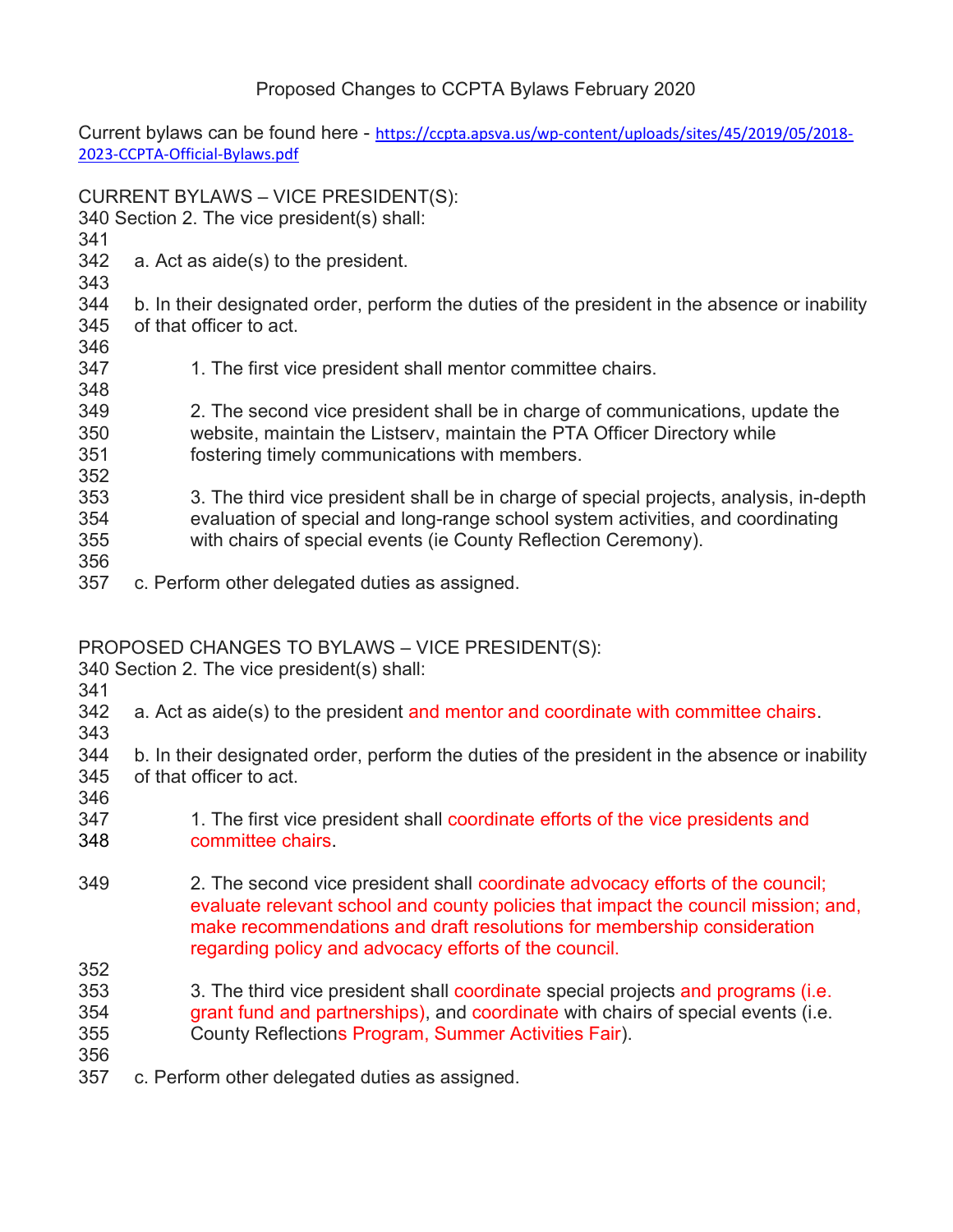## Proposed Changes to CCPTA Bylaws February 2020

Current bylaws can be found here - https://ccpta.apsva.us/wp-content/uploads/sites/45/2019/05/2018-2023-CCPTA-Official-Bylaws.pdf

CURRENT BYLAWS – VICE PRESIDENT(S): 340 Section 2. The vice president(s) shall: 341 342 a. Act as aide(s) to the president. 343 344 b. In their designated order, perform the duties of the president in the absence or inability 345 of that officer to act. 346 347 1. The first vice president shall mentor committee chairs. 348 349 2. The second vice president shall be in charge of communications, update the 350 website, maintain the Listserv, maintain the PTA Officer Directory while 351 fostering timely communications with members. 352 353 3. The third vice president shall be in charge of special projects, analysis, in-depth 354 evaluation of special and long-range school system activities, and coordinating 355 with chairs of special events (ie County Reflection Ceremony). 356 357 c. Perform other delegated duties as assigned.

PROPOSED CHANGES TO BYLAWS – VICE PRESIDENT(S):

340 Section 2. The vice president(s) shall:

- 341
- 342 a. Act as aide(s) to the president and mentor and coordinate with committee chairs.
- 

343 344 b. In their designated order, perform the duties of the president in the absence or inability

- 345 of that officer to act.
- 346
- 347 1. The first vice president shall coordinate efforts of the vice presidents and
- 348 committee chairs.
- 349 2. The second vice president shall coordinate advocacy efforts of the council; evaluate relevant school and county policies that impact the council mission; and, make recommendations and draft resolutions for membership consideration regarding policy and advocacy efforts of the council.
- 352 353 3. The third vice president shall coordinate special projects and programs (i.e. 354 grant fund and partnerships), and coordinate with chairs of special events (i.e.
- 355 County Reflections Program, Summer Activities Fair).
- 356
- 357 c. Perform other delegated duties as assigned.